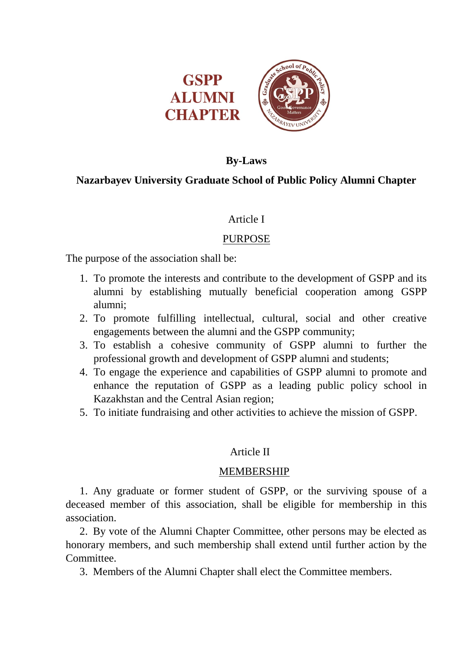

# **By-Laws**

# **Nazarbayev University Graduate School of Public Policy Alumni Chapter**

## Article I

# PURPOSE

The purpose of the association shall be:

- 1. To promote the interests and contribute to the development of GSPP and its alumni by establishing mutually beneficial cooperation among GSPP alumni;
- 2. To promote fulfilling intellectual, cultural, social and other creative engagements between the alumni and the GSPP community;
- 3. To establish a cohesive community of GSPP alumni to further the professional growth and development of GSPP alumni and students;
- 4. To engage the experience and capabilities of GSPP alumni to promote and enhance the reputation of GSPP as a leading public policy school in Kazakhstan and the Central Asian region;
- 5. To initiate fundraising and other activities to achieve the mission of GSPP.

# Article II

## MEMBERSHIP

1. Any graduate or former student of GSPP, or the surviving spouse of a deceased member of this association, shall be eligible for membership in this association.

2. By vote of the Alumni Chapter Committee, other persons may be elected as honorary members, and such membership shall extend until further action by the Committee.

3. Members of the Alumni Chapter shall elect the Committee members.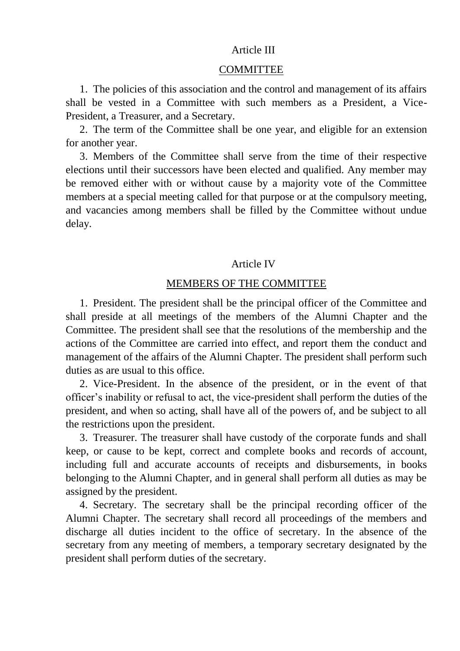## Article III

#### COMMITTEE

1. The policies of this association and the control and management of its affairs shall be vested in a Committee with such members as a President, a Vice-President, a Treasurer, and a Secretary.

2. The term of the Committee shall be one year, and eligible for an extension for another year.

3. Members of the Committee shall serve from the time of their respective elections until their successors have been elected and qualified. Any member may be removed either with or without cause by a majority vote of the Committee members at a special meeting called for that purpose or at the compulsory meeting, and vacancies among members shall be filled by the Committee without undue delay.

### Article IV

### MEMBERS OF THE COMMITTEE

1. President. The president shall be the principal officer of the Committee and shall preside at all meetings of the members of the Alumni Chapter and the Committee. The president shall see that the resolutions of the membership and the actions of the Committee are carried into effect, and report them the conduct and management of the affairs of the Alumni Chapter. The president shall perform such duties as are usual to this office.

2. Vice-President. In the absence of the president, or in the event of that officer's inability or refusal to act, the vice-president shall perform the duties of the president, and when so acting, shall have all of the powers of, and be subject to all the restrictions upon the president.

3. Treasurer. The treasurer shall have custody of the corporate funds and shall keep, or cause to be kept, correct and complete books and records of account, including full and accurate accounts of receipts and disbursements, in books belonging to the Alumni Chapter, and in general shall perform all duties as may be assigned by the president.

4. Secretary. The secretary shall be the principal recording officer of the Alumni Chapter. The secretary shall record all proceedings of the members and discharge all duties incident to the office of secretary. In the absence of the secretary from any meeting of members, a temporary secretary designated by the president shall perform duties of the secretary.